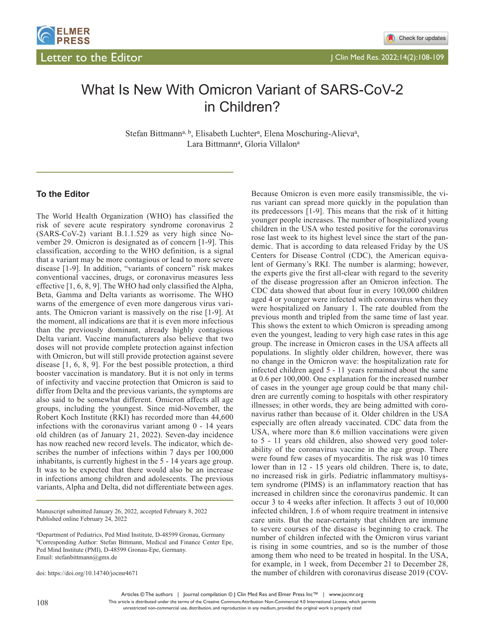

# What Is New With Omicron Variant of SARS-CoV-2 in Children?

Stefan Bittmann<sup>a, b</sup>, Elisabeth Luchter<sup>a</sup>, Elena Moschuring-Alieva<sup>a</sup>, Lara Bittmann<sup>a</sup>, Gloria Villalon<sup>a</sup>

#### **To the Editor**

The World Health Organization (WHO) has classified the risk of severe acute respiratory syndrome coronavirus 2 (SARS-CoV-2) variant B.1.1.529 as very high since November 29. Omicron is designated as of concern [1-9]. This classification, according to the WHO definition, is a signal that a variant may be more contagious or lead to more severe disease [1-9]. In addition, "variants of concern" risk makes conventional vaccines, drugs, or coronavirus measures less effective [1, 6, 8, 9]. The WHO had only classified the Alpha, Beta, Gamma and Delta variants as worrisome. The WHO warns of the emergence of even more dangerous virus variants. The Omicron variant is massively on the rise [1-9]. At the moment, all indications are that it is even more infectious than the previously dominant, already highly contagious Delta variant. Vaccine manufacturers also believe that two doses will not provide complete protection against infection with Omicron, but will still provide protection against severe disease [1, 6, 8, 9]. For the best possible protection, a third booster vaccination is mandatory. But it is not only in terms of infectivity and vaccine protection that Omicron is said to differ from Delta and the previous variants, the symptoms are also said to be somewhat different. Omicron affects all age groups, including the youngest. Since mid-November, the Robert Koch Institute (RKI) has recorded more than 44,600 infections with the coronavirus variant among 0 - 14 years old children (as of January 21, 2022). Seven-day incidence has now reached new record levels. The indicator, which describes the number of infections within 7 days per 100,000 inhabitants, is currently highest in the 5 - 14 years age group. It was to be expected that there would also be an increase in infections among children and adolescents. The previous variants, Alpha and Delta, did not differentiate between ages.

Manuscript submitted January 26, 2022, accepted February 8, 2022 Published online February 24, 2022

doi: https://doi.org/10.14740/jocmr4671

Because Omicron is even more easily transmissible, the virus variant can spread more quickly in the population than its predecessors [1-9]. This means that the risk of it hitting younger people increases. The number of hospitalized young children in the USA who tested positive for the coronavirus rose last week to its highest level since the start of the pandemic. That is according to data released Friday by the US Centers for Disease Control (CDC), the American equivalent of Germany's RKI. The number is alarming; however, the experts give the first all-clear with regard to the severity of the disease progression after an Omicron infection. The CDC data showed that about four in every 100,000 children aged 4 or younger were infected with coronavirus when they were hospitalized on January 1. The rate doubled from the previous month and tripled from the same time of last year. This shows the extent to which Omicron is spreading among even the youngest, leading to very high case rates in this age group. The increase in Omicron cases in the USA affects all populations. In slightly older children, however, there was no change in the Omicron wave: the hospitalization rate for infected children aged 5 - 11 years remained about the same at 0.6 per 100,000. One explanation for the increased number of cases in the younger age group could be that many children are currently coming to hospitals with other respiratory illnesses; in other words, they are being admitted with coronavirus rather than because of it. Older children in the USA especially are often already vaccinated. CDC data from the USA, where more than 8.6 million vaccinations were given to 5 - 11 years old children, also showed very good tolerability of the coronavirus vaccine in the age group. There were found few cases of myocarditis. The risk was 10 times lower than in 12 - 15 years old children. There is, to date, no increased risk in girls. Pediatric inflammatory multisystem syndrome (PIMS) is an inflammatory reaction that has increased in children since the coronavirus pandemic. It can occur 3 to 4 weeks after infection. It affects 3 out of 10,000 infected children, 1.6 of whom require treatment in intensive care units. But the near-certainty that children are immune to severe courses of the disease is beginning to crack. The number of children infected with the Omicron virus variant is rising in some countries, and so is the number of those among them who need to be treated in hospital. In the USA, for example, in 1 week, from December 21 to December 28, the number of children with coronavirus disease 2019 (COV-

This article is distributed under the terms of the Creative Commons Attribution Non-Commercial 4.0 International License, which permits unrestricted non-commercial use, distribution, and reproduction in any medium, provided the original work is properly cited

a Department of Pediatrics, Ped Mind Institute, D-48599 Gronau, Germany bCorresponding Author: Stefan Bittmann, Medical and Finance Center Epe, Ped Mind Institute (PMI), D-48599 Gronau-Epe, Germany. Email: stefanbittmann@gmx.de

Articles © The authors | Journal compilation © J Clin Med Res and Elmer Press Inc™ | www.jocmr.org